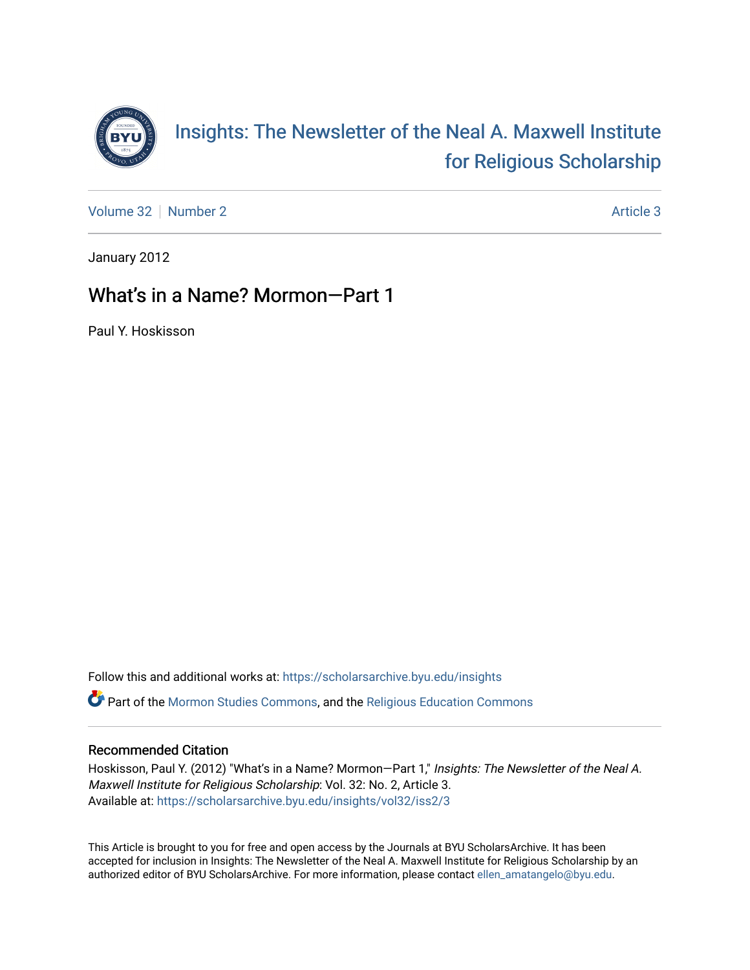

[Volume 32](https://scholarsarchive.byu.edu/insights/vol32) [Number 2](https://scholarsarchive.byu.edu/insights/vol32/iss2) [Article 3](https://scholarsarchive.byu.edu/insights/vol32/iss2/3) Article 3

January 2012

# What's in a Name? Mormon—Part 1

Paul Y. Hoskisson

Follow this and additional works at: [https://scholarsarchive.byu.edu/insights](https://scholarsarchive.byu.edu/insights?utm_source=scholarsarchive.byu.edu%2Finsights%2Fvol32%2Fiss2%2F3&utm_medium=PDF&utm_campaign=PDFCoverPages)  Part of the [Mormon Studies Commons](http://network.bepress.com/hgg/discipline/1360?utm_source=scholarsarchive.byu.edu%2Finsights%2Fvol32%2Fiss2%2F3&utm_medium=PDF&utm_campaign=PDFCoverPages), and the [Religious Education Commons](http://network.bepress.com/hgg/discipline/1414?utm_source=scholarsarchive.byu.edu%2Finsights%2Fvol32%2Fiss2%2F3&utm_medium=PDF&utm_campaign=PDFCoverPages) 

## Recommended Citation

Hoskisson, Paul Y. (2012) "What's in a Name? Mormon-Part 1," Insights: The Newsletter of the Neal A. Maxwell Institute for Religious Scholarship: Vol. 32: No. 2, Article 3. Available at: [https://scholarsarchive.byu.edu/insights/vol32/iss2/3](https://scholarsarchive.byu.edu/insights/vol32/iss2/3?utm_source=scholarsarchive.byu.edu%2Finsights%2Fvol32%2Fiss2%2F3&utm_medium=PDF&utm_campaign=PDFCoverPages) 

This Article is brought to you for free and open access by the Journals at BYU ScholarsArchive. It has been accepted for inclusion in Insights: The Newsletter of the Neal A. Maxwell Institute for Religious Scholarship by an authorized editor of BYU ScholarsArchive. For more information, please contact [ellen\\_amatangelo@byu.edu.](mailto:ellen_amatangelo@byu.edu)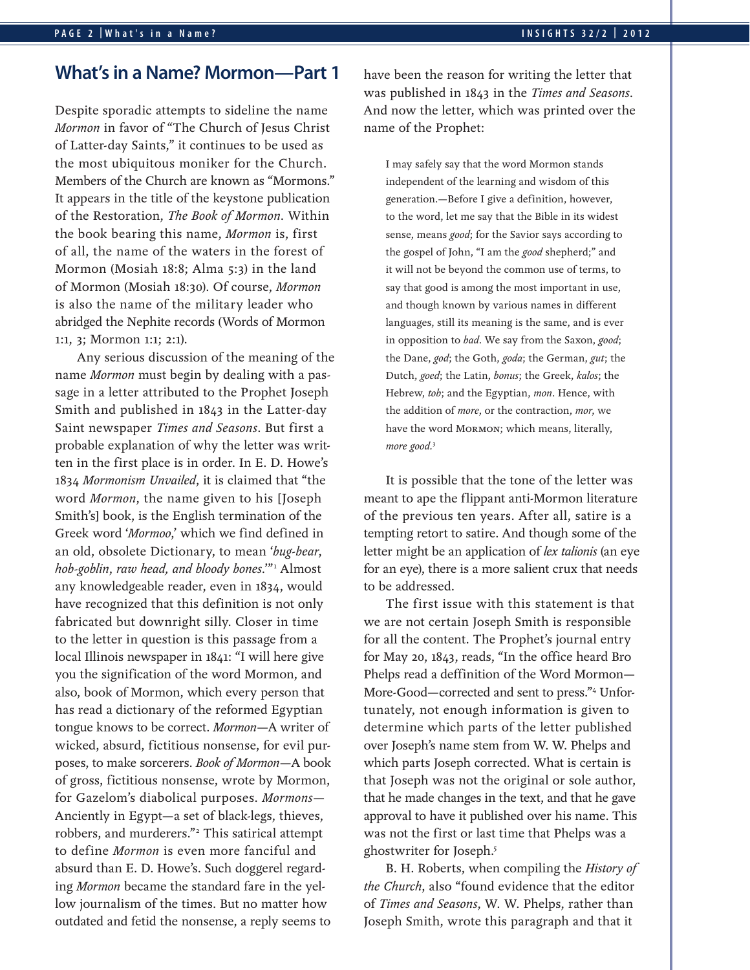# **What's in a Name? Mormon—Part 1**

Despite sporadic attempts to sideline the name *Mormon* in favor of "The Church of Jesus Christ of Latter-day Saints," it continues to be used as the most ubiquitous moniker for the Church. Members of the Church are known as "Mormons." It appears in the title of the keystone publication of the Restoration, *The Book of Mormon*. Within the book bearing this name, *Mormon* is, first of all, the name of the waters in the forest of Mormon (Mosiah 18:8; Alma 5:3) in the land of Mormon (Mosiah 18:30). Of course, *Mormon* is also the name of the military leader who abridged the Nephite records (Words of Mormon 1:1, 3; Mormon 1:1; 2:1).

Any serious discussion of the meaning of the name *Mormon* must begin by dealing with a passage in a letter attributed to the Prophet Joseph Smith and published in 1843 in the Latter-day Saint newspaper *Times and Seasons*. But first a probable explanation of why the letter was written in the first place is in order. In E. D. Howe's 1834 *Mormonism Unvailed*, it is claimed that "the word *Mormon*, the name given to his [Joseph Smith's] book, is the English termination of the Greek word '*Mormoo*,' which we find defined in an old, obsolete Dictionary, to mean '*bug-bear*, *hob-goblin*, *raw head, and bloody bones*.'"1 Almost any knowledgeable reader, even in 1834, would have recognized that this definition is not only fabricated but downright silly. Closer in time to the letter in question is this passage from a local Illinois newspaper in 1841: "I will here give you the signification of the word Mormon, and also, book of Mormon, which every person that has read a dictionary of the reformed Egyptian tongue knows to be correct. *Mormon*—A writer of wicked, absurd, fictitious nonsense, for evil purposes, to make sorcerers. *Book of Mormon*—A book of gross, fictitious nonsense, wrote by Mormon, for Gazelom's diabolical purposes. *Mormons*— Anciently in Egypt—a set of black-legs, thieves, robbers, and murderers."2 This satirical attempt to define *Mormon* is even more fanciful and absurd than E. D. Howe's. Such doggerel regarding *Mormon* became the standard fare in the yellow journalism of the times. But no matter how outdated and fetid the nonsense, a reply seems to

have been the reason for writing the letter that was published in 1843 in the *Times and Seasons*. And now the letter, which was printed over the name of the Prophet:

I may safely say that the word Mormon stands independent of the learning and wisdom of this generation.—Before I give a definition, however, to the word, let me say that the Bible in its widest sense, means *good*; for the Savior says according to the gospel of John, "I am the *good* shepherd;" and it will not be beyond the common use of terms, to say that good is among the most important in use, and though known by various names in different languages, still its meaning is the same, and is ever in opposition to *bad*. We say from the Saxon, *good*; the Dane, *god*; the Goth, *goda*; the German, *gut*; the Dutch, *goed*; the Latin, *bonus*; the Greek, *kalos*; the Hebrew, *tob*; and the Egyptian, *mon*. Hence, with the addition of *more*, or the contraction, *mor*, we have the word Mormon; which means, literally, *more good.*<sup>3</sup>

It is possible that the tone of the letter was meant to ape the flippant anti-Mormon literature of the previous ten years. After all, satire is a tempting retort to satire. And though some of the letter might be an application of *lex talionis* (an eye for an eye), there is a more salient crux that needs to be addressed.

The first issue with this statement is that we are not certain Joseph Smith is responsible for all the content. The Prophet's journal entry for May 20, 1843, reads, "In the office heard Bro Phelps read a deffinition of the Word Mormon— More-Good—corrected and sent to press."4 Unfortunately, not enough information is given to determine which parts of the letter published over Joseph's name stem from W. W. Phelps and which parts Joseph corrected. What is certain is that Joseph was not the original or sole author, that he made changes in the text, and that he gave approval to have it published over his name. This was not the first or last time that Phelps was a ghostwriter for Joseph.5

B. H. Roberts, when compiling the *History of the Church*, also "found evidence that the editor of *Times and Seasons*, W. W. Phelps, rather than Joseph Smith, wrote this paragraph and that it